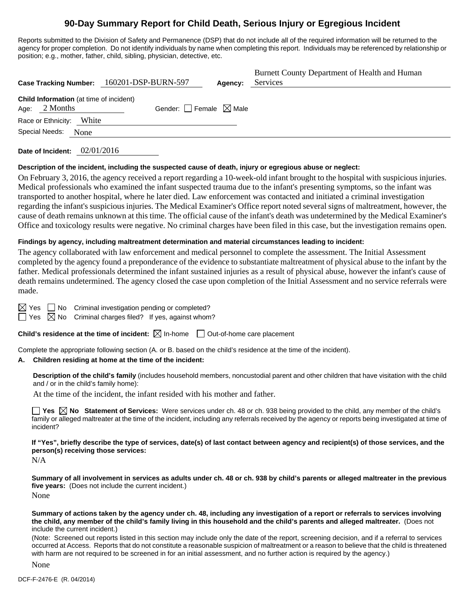## **90-Day Summary Report for Child Death, Serious Injury or Egregious Incident**

Reports submitted to the Division of Safety and Permanence (DSP) that do not include all of the required information will be returned to the agency for proper completion. Do not identify individuals by name when completing this report. Individuals may be referenced by relationship or position; e.g., mother, father, child, sibling, physician, detective, etc.

| Case Tracking Number: 160201-DSP-BURN-597                         | Agency:                         | Burnett County Department of Health and Human<br>Services |
|-------------------------------------------------------------------|---------------------------------|-----------------------------------------------------------|
| <b>Child Information</b> (at time of incident)<br>Age: $2$ Months | Gender: Female $\boxtimes$ Male |                                                           |
| Race or Ethnicity: White                                          |                                 |                                                           |
| Special Needs:<br>None                                            |                                 |                                                           |

**Date of Incident:** 02/01/2016

#### **Description of the incident, including the suspected cause of death, injury or egregious abuse or neglect:**

On February 3, 2016, the agency received a report regarding a 10-week-old infant brought to the hospital with suspicious injuries. Medical professionals who examined the infant suspected trauma due to the infant's presenting symptoms, so the infant was transported to another hospital, where he later died. Law enforcement was contacted and initiated a criminal investigation regarding the infant's suspicious injuries. The Medical Examiner's Office report noted several signs of maltreatment, however, the cause of death remains unknown at this time. The official cause of the infant's death was undetermined by the Medical Examiner's Office and toxicology results were negative. No criminal charges have been filed in this case, but the investigation remains open.

#### **Findings by agency, including maltreatment determination and material circumstances leading to incident:**

The agency collaborated with law enforcement and medical personnel to complete the assessment. The Initial Assessment completed by the agency found a preponderance of the evidence to substantiate maltreatment of physical abuse to the infant by the father. Medical professionals determined the infant sustained injuries as a result of physical abuse, however the infant's cause of death remains undetermined. The agency closed the case upon completion of the Initial Assessment and no service referrals were made.

 $\boxtimes$  Yes  $\Box$  No Criminal investigation pending or completed?

 $\Box$  Yes  $\boxtimes$  No Criminal charges filed? If yes, against whom?

**Child's residence at the time of incident:** ⊠ In-home □ Out-of-home care placement

Complete the appropriate following section (A. or B. based on the child's residence at the time of the incident).

#### **A. Children residing at home at the time of the incident:**

**Description of the child's family** (includes household members, noncustodial parent and other children that have visitation with the child and / or in the child's family home):

At the time of the incident, the infant resided with his mother and father.

**Yes**  $\boxtimes$  **No** Statement of Services: Were services under ch. 48 or ch. 938 being provided to the child, any member of the child's family or alleged maltreater at the time of the incident, including any referrals received by the agency or reports being investigated at time of incident?

**If "Yes", briefly describe the type of services, date(s) of last contact between agency and recipient(s) of those services, and the person(s) receiving those services:** 

N/A

**Summary of all involvement in services as adults under ch. 48 or ch. 938 by child's parents or alleged maltreater in the previous five years:** (Does not include the current incident.) None

**Summary of actions taken by the agency under ch. 48, including any investigation of a report or referrals to services involving the child, any member of the child's family living in this household and the child's parents and alleged maltreater.** (Does not include the current incident.)

(Note: Screened out reports listed in this section may include only the date of the report, screening decision, and if a referral to services occurred at Access. Reports that do not constitute a reasonable suspicion of maltreatment or a reason to believe that the child is threatened with harm are not required to be screened in for an initial assessment, and no further action is required by the agency.)

None